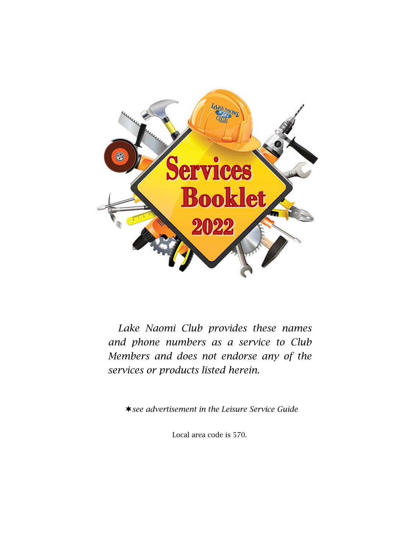

 *Lake Naomi Club provides these names and phone numbers as a service to Club Members and does not endorse any of the services or products listed herein.*

*see advertisement in the Leisure Service Guide*

Local area code is 570.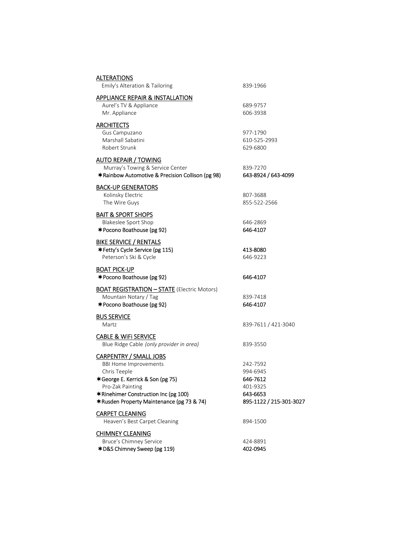| <b>ALTERATIONS</b><br>Emily's Alteration & Tailoring                                 | 839-1966                        |
|--------------------------------------------------------------------------------------|---------------------------------|
| <b>APPLIANCE REPAIR &amp; INSTALLATION</b>                                           |                                 |
| Aurel's TV & Appliance                                                               | 689-9757                        |
| Mr. Appliance                                                                        | 606-3938                        |
| <b>ARCHITECTS</b>                                                                    |                                 |
| Gus Campuzano                                                                        | 977-1790                        |
| Marshall Sabatini                                                                    | 610-525-2993                    |
| Robert Strunk                                                                        | 629-6800                        |
| <b>AUTO REPAIR / TOWING</b>                                                          |                                 |
| Murray's Towing & Service Center<br>*Rainbow Automotive & Precision Collison (pg 98) | 839-7270<br>643-8924 / 643-4099 |
| <b>BACK-UP GENERATORS</b>                                                            |                                 |
| Kolinsky Electric                                                                    | 807-3688                        |
| The Wire Guys                                                                        | 855-522-2566                    |
| <b>BAIT &amp; SPORT SHOPS</b>                                                        |                                 |
| <b>Blakeslee Sport Shop</b>                                                          | 646-2869                        |
| *Pocono Boathouse (pg 92)                                                            | 646-4107                        |
| <b>BIKE SERVICE / RENTALS</b>                                                        |                                 |
| *Fetty's Cycle Service (pg 115)                                                      | 413-8080                        |
| Peterson's Ski & Cycle                                                               | 646-9223                        |
| <b>BOAT PICK-UP</b>                                                                  |                                 |
| <b>★Pocono Boathouse (pg 92)</b>                                                     | 646-4107                        |
| <b>BOAT REGISTRATION - STATE</b> (Electric Motors)                                   |                                 |
| Mountain Notary / Tag                                                                | 839-7418                        |
| *Pocono Boathouse (pg 92)                                                            | 646-4107                        |
| <b>BUS SERVICE</b>                                                                   |                                 |
| Martz                                                                                | 839-7611 / 421-3040             |
| <b>CABLE &amp; WIFI SERVICE</b>                                                      |                                 |
| Blue Ridge Cable (only provider in area)                                             | 839-3550                        |
| <b>CARPENTRY / SMALL JOBS</b>                                                        |                                 |
| <b>BBI Home Improvements</b>                                                         | 242-7592                        |
| Chris Teeple                                                                         | 994-6945                        |
| *George E. Kerrick & Son (pg 75)                                                     | 646-7612                        |
| Pro-Zak Painting                                                                     | 401-9325                        |
| *Rinehimer Construction Inc (pg 100)                                                 | 643-6653                        |
| *Rusden Property Maintenance (pg 73 & 74)                                            | 895-1122 / 215-301-3027         |
| <b>CARPET CLEANING</b>                                                               |                                 |
| Heaven's Best Carpet Cleaning                                                        | 894-1500                        |
| <b>CHIMNEY CLEANING</b>                                                              |                                 |
| Bruce's Chimney Service                                                              | 424-8891                        |
| *D&S Chimney Sweep (pg 119)                                                          | 402-0945                        |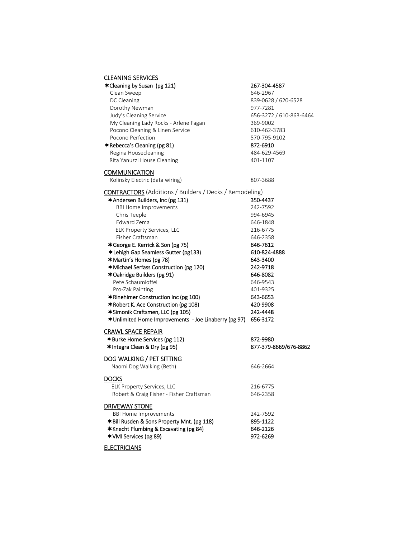## CLEANING SERVICES

| * Cleaning by Susan (pg 121)                                   | 267-304-4587            |
|----------------------------------------------------------------|-------------------------|
| Clean Sweep                                                    | 646-2967                |
| DC Cleaning                                                    | 839-0628 / 620-6528     |
| Dorothy Newman                                                 | 977-7281                |
| Judy's Cleaning Service                                        | 656-3272 / 610-863-6464 |
| My Cleaning Lady Rocks - Arlene Fagan                          | 369-9002                |
| Pocono Cleaning & Linen Service                                | 610-462-3783            |
| Pocono Perfection                                              | 570-795-9102            |
| *Rebecca's Cleaning (pg 81)                                    | 872-6910                |
| Regina Housecleaning                                           | 484-629-4569            |
| Rita Yanuzzi House Cleaning                                    | 401-1107                |
| <u>COMMUNICATION</u>                                           |                         |
| Kolinsky Electric (data wiring)                                | 807-3688                |
| <b>CONTRACTORS</b> (Additions / Builders / Decks / Remodeling) |                         |
| <b>*Andersen Builders, Inc (pg 131)</b>                        | 350-4437                |
| <b>BBI Home Improvements</b>                                   | 242-7592                |
| Chris Teeple                                                   | 994-6945                |
| Edward Zema                                                    | 646-1848                |
| ELK Property Services, LLC                                     | 216-6775                |
| Fisher Craftsman                                               | 646-2358                |
| *George E. Kerrick & Son (pg 75)                               | 646-7612                |
| * Lehigh Gap Seamless Gutter (pg133)                           | 610-824-4888            |
| *Martin's Homes (pg 78)                                        | 643-3400                |
| *Michael Serfass Construction (pg 120)                         | 242-9718                |
| *Oakridge Builders (pg 91)                                     | 646-8082                |
| Pete Schaumloffel                                              | 646-9543                |
| Pro-Zak Painting                                               | 401-9325                |
| *Rinehimer Construction Inc (pg 100)                           | 643-6653                |
| *Robert K. Ace Construction (pg 108)                           | 420-9908                |
| *Simonik Craftsmen, LLC (pg 105)                               | 242-4448                |
| *Unlimited Home Improvements - Joe Linaberry (pg 97)           | 656-3172                |
| <u>CRAWL SPACE REPAIR</u>                                      |                         |
| *Burke Home Services (pg 112)                                  | 872-9980                |
| <b>★Integra Clean &amp; Dry (pg 95)</b>                        | 877-379-8669/676-8862   |
| <u>DOG WALKING / PET SITTING</u>                               |                         |
| Naomi Dog Walking (Beth)                                       | 646-2664                |
| Docks                                                          |                         |
| ELK Property Services, LLC                                     | 216-6775                |
| Robert & Craig Fisher - Fisher Craftsman                       | 646-2358                |
| DRIVEWAY STONE                                                 |                         |
| <b>BBI Home Improvements</b>                                   | 242-7592                |
| *Bill Rusden & Sons Property Mnt. (pg 118)                     | 895-1122                |
| *Knecht Plumbing & Excavating (pg 84)                          | 646-2126                |
| *VMI Services (pg 89)                                          | 972-6269                |
|                                                                |                         |

**ELECTRICIANS**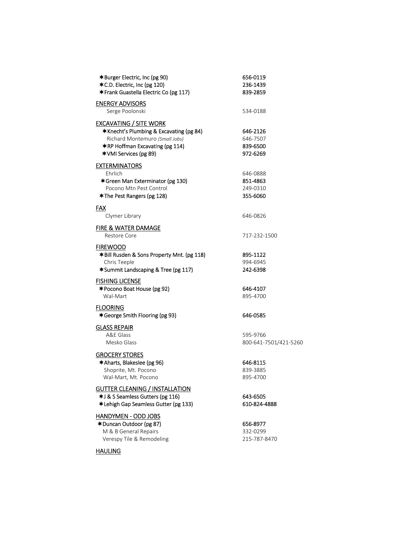| <b>★Burger Electric, Inc (pg 90)</b><br><b>★C.D. Electric, Inc (pg 120)</b><br>*Frank Guastella Electric Co (pg 117)                                                                            | 656-0119<br>236-1439<br>839-2859             |
|-------------------------------------------------------------------------------------------------------------------------------------------------------------------------------------------------|----------------------------------------------|
| <b>ENERGY ADVISORS</b><br>Serge Poolonski                                                                                                                                                       | 534-0188                                     |
| <b>EXCAVATING / SITE WORK</b><br><b>★Knecht's Plumbing &amp; Excavating (pg 84)</b><br>Richard Montemuro (Small Jobs)<br><b>★RP Hoffman Excavating (pg 114)</b><br><b>★VMI Services (pg 89)</b> | 646-2126<br>646-7507<br>839-6500<br>972-6269 |
| <b>EXTERMINATORS</b><br>Ehrlich<br>*Green Man Exterminator (pg 130)<br>Pocono Mtn Pest Control<br><b>★The Pest Rangers (pg 128)</b>                                                             | 646-0888<br>851-4863<br>249-0310<br>355-6060 |
| FAX<br>Clymer Library                                                                                                                                                                           | 646-0826                                     |
| FIRE & WATER DAMAGE<br>Restore Core                                                                                                                                                             | 717-232-1500                                 |
| <b>FIREWOOD</b><br>*Bill Rusden & Sons Property Mnt. (pg 118)<br>Chris Teeple<br>*Summit Landscaping & Tree (pg 117)                                                                            | 895-1122<br>994-6945<br>242-6398             |
| <b>FISHING LICENSE</b><br><b>*Pocono Boat House (pg 92)</b><br>Wal-Mart                                                                                                                         | 646-4107<br>895-4700                         |
| <b>FLOORING</b><br>*George Smith Flooring (pg 93)                                                                                                                                               | 646-0585                                     |
| <b>GLASS REPAIR</b><br>A&E Glass<br>Mesko Glass                                                                                                                                                 | 595-9766<br>800-641-7501/421-5260            |
| <b>GROCERY STORES</b><br><b>★Aharts, Blakeslee (pg 96)</b><br>Shoprite, Mt. Pocono<br>Wal-Mart, Mt. Pocono                                                                                      | 646-8115<br>839-3885<br>895-4700             |
| <b>GUTTER CLEANING / INSTALLATION</b><br>*J & S Seamless Gutters (pg 116)<br>*Lehigh Gap Seamless Gutter (pg 133)                                                                               | 643-6505<br>610-824-4888                     |
| <u> HANDYMEN - ODD JOBS</u><br><b>★Duncan Outdoor (pg 87)</b><br>M & B General Repairs                                                                                                          | 656-8977<br>332-0299                         |

Verespy Tile & Remodeling 215-787-8470

HAULING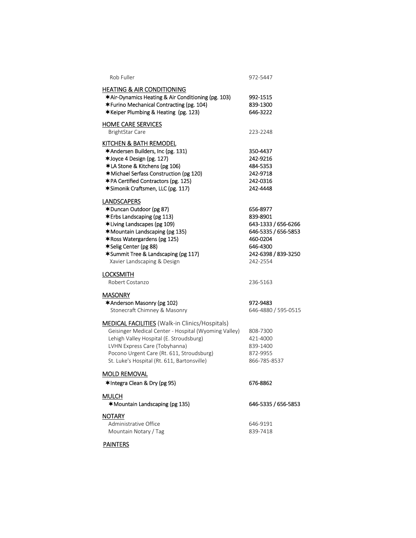| Rob Fuller                                                                                                                                                                                                                                                                            | 972-5447                                                                                                                      |
|---------------------------------------------------------------------------------------------------------------------------------------------------------------------------------------------------------------------------------------------------------------------------------------|-------------------------------------------------------------------------------------------------------------------------------|
| <b>HEATING &amp; AIR CONDITIONING</b><br>*Air-Dynamics Heating & Air Conditioning (pg. 103)<br>*Furino Mechanical Contracting (pg. 104)<br>*Keiper Plumbing & Heating (pg. 123)                                                                                                       | 992-1515<br>839-1300<br>646-3222                                                                                              |
| <b>HOME CARE SERVICES</b><br><b>BrightStar Care</b>                                                                                                                                                                                                                                   | 223-2248                                                                                                                      |
| KITCHEN & BATH REMODEL<br>*Andersen Builders, Inc (pg. 131)<br>*Joyce 4 Design (pg. 127)<br>*LA Stone & Kitchens (pg 106)<br>*Michael Serfass Construction (pg 120)<br>*PA Certified Contractors (pg. 125)<br>*Simonik Craftsmen, LLC (pg. 117)                                       | 350-4437<br>242-9216<br>484-5353<br>242-9718<br>242-0316<br>242-4448                                                          |
| <b>LANDSCAPERS</b><br>*Duncan Outdoor (pg 87)<br><b>*Erbs Landscaping (pg 113)</b><br>*Living Landscapes (pg 109)<br>*Mountain Landscaping (pg 135)<br>*Ross Watergardens (pg 125)<br>*Selig Center (pg 88)<br>*Summit Tree & Landscaping (pg 117)<br>Xavier Landscaping & Design     | 656-8977<br>839-8901<br>643-1333 / 656-6266<br>646-5335 / 656-5853<br>460-0204<br>646-4300<br>242-6398 / 839-3250<br>242-2554 |
| <b>LOCKSMITH</b><br>Robert Costanzo                                                                                                                                                                                                                                                   | 236-5163                                                                                                                      |
| <b>MASONRY</b><br>*Anderson Masonry (pg 102)<br>Stonecraft Chimney & Masonry                                                                                                                                                                                                          | 972-9483<br>646-4880 / 595-0515                                                                                               |
| <b>MEDICAL FACILITIES</b> (Walk-in Clinics/Hospitals)<br>Geisinger Medical Center - Hospital (Wyoming Valley)<br>Lehigh Valley Hospital (E. Stroudsburg)<br>LVHN Express Care (Tobyhanna)<br>Pocono Urgent Care (Rt. 611, Stroudsburg)<br>St. Luke's Hospital (Rt. 611, Bartonsville) | 808-7300<br>421-4000<br>839-1400<br>872-9955<br>866-785-8537                                                                  |
| <b>MOLD REMOVAL</b><br>*Integra Clean & Dry (pg 95)                                                                                                                                                                                                                                   | 676-8862                                                                                                                      |
| <b>MULCH</b><br><b>★Mountain Landscaping (pg 135)</b>                                                                                                                                                                                                                                 | 646-5335 / 656-5853                                                                                                           |
| <b>NOTARY</b><br>Administrative Office<br>Mountain Notary / Tag                                                                                                                                                                                                                       | 646-9191<br>839-7418                                                                                                          |

**PAINTERS**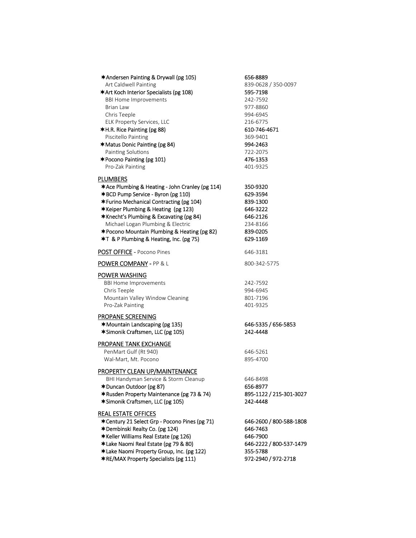| *Andersen Painting & Drywall (pg 105)                  | 656-8889                |
|--------------------------------------------------------|-------------------------|
| Art Caldwell Painting                                  | 839-0628 / 350-0097     |
| *Art Koch Interior Specialists (pg 108)                | 595-7198                |
| <b>BBI Home Improvements</b><br>Brian Law              | 242-7592                |
|                                                        | 977-8860                |
| Chris Teeple                                           | 994-6945                |
| ELK Property Services, LLC                             | 216-6775                |
| *H.R. Rice Painting (pg 88)                            | 610-746-4671            |
| Piscitello Painting                                    | 369-9401                |
| <b>★Matus Donic Painting (pg 84)</b>                   | 994-2463                |
| Painting Solutions                                     | 722-2075                |
| *Pocono Painting (pg 101)                              | 476-1353                |
| Pro-Zak Painting                                       | 401-9325                |
| <u>PLUMBERS</u>                                        |                         |
| *Ace Plumbing & Heating - John Cranley (pg 114)        | 350-9320                |
| *BCD Pump Service - Byron (pg 110)                     | 629-3594                |
| *Furino Mechanical Contracting (pg 104)                | 839-1300                |
| *Keiper Plumbing & Heating (pg 123)                    | 646-3222                |
| <b>*Knecht's Plumbing &amp; Excavating (pg 84)</b>     | 646-2126                |
| Michael Logan Plumbing & Electric                      | 234-8166                |
| <b>*Pocono Mountain Plumbing &amp; Heating (pg 82)</b> | 839-0205                |
| <b>★T &amp; P Plumbing &amp; Heating, Inc. (pg 75)</b> | 629-1169                |
| POST OFFICE - Pocono Pines                             | 646-3181                |
| <b>POWER COMPANY</b> - PP & L                          | 800-342-5775            |
|                                                        |                         |
| <u>POWER WASHING</u>                                   |                         |
| <b>BBI Home Improvements</b>                           | 242-7592                |
| Chris Teeple                                           | 994-6945                |
| Mountain Valley Window Cleaning                        | 801-7196                |
| Pro-Zak Painting                                       | 401-9325                |
| <b>PROPANE SCREENING</b>                               |                         |
| <b>★Mountain Landscaping (pg 135)</b>                  | 646-5335 / 656-5853     |
| *Simonik Craftsmen, LLC (pg 105)                       | 242-4448                |
| <u>PROPANE TANK EXCHANGE</u>                           |                         |
| PenMart Gulf (Rt 940)                                  | 646-5261                |
| Wal-Mart, Mt. Pocono                                   | 895-4700                |
|                                                        |                         |
| PROPERTY CLEAN UP/MAINTENANCE                          |                         |
| BHI Handyman Service & Storm Cleanup                   | 646-8498                |
| *Duncan Outdoor (pg 87)                                | 656-8977                |
| *Rusden Property Maintenance (pg 73 & 74)              | 895-1122 / 215-301-3027 |
| *Simonik Craftsmen, LLC (pg 105)                       | 242-4448                |
| <b>REAL ESTATE OFFICES</b>                             |                         |
| <b>* Century 21 Select Grp - Pocono Pines (pg 71)</b>  | 646-2600 / 800-588-1808 |
| *Dembinski Realty Co. (pg 124)                         | 646-7463                |
| *Keller Williams Real Estate (pg 126)                  | 646-7900                |
| *Lake Naomi Real Estate (pg 79 & 80)                   | 646-2222 / 800-537-1479 |
| *Lake Naomi Property Group, Inc. (pg 122)              | 355-5788                |
| <b>*RE/MAX Property Specialists (pg 111)</b>           | 972-2940 / 972-2718     |
|                                                        |                         |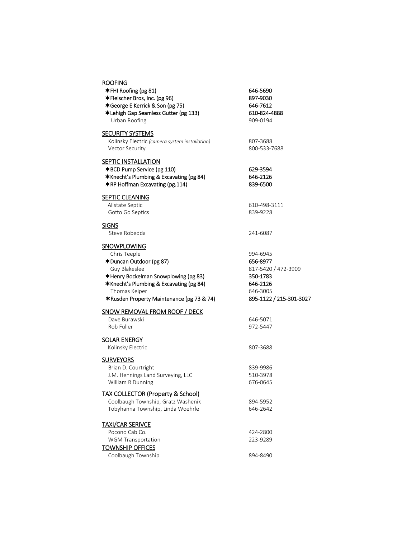| <b>ROOFING</b>                                 |                         |
|------------------------------------------------|-------------------------|
| *FHI Roofing (pg 81)                           | 646-5690                |
| *Fleischer Bros, Inc. (pg 96)                  | 897-9030                |
| *George E Kerrick & Son (pg 75)                | 646-7612                |
| *Lehigh Gap Seamless Gutter (pg 133)           | 610-824-4888            |
| Urban Roofing                                  | 909-0194                |
| <b>SECURITY SYSTEMS</b>                        |                         |
| Kolinsky Electric (camera system installation) | 807-3688                |
| <b>Vector Security</b>                         | 800-533-7688            |
| <b>SEPTIC INSTALLATION</b>                     |                         |
| *BCD Pump Service (pg 110)                     | 629-3594                |
| *Knecht's Plumbing & Excavating (pg 84)        | 646-2126                |
| <b>*RP Hoffman Excavating (pg.114)</b>         | 839-6500                |
| <b>SEPTIC CLEANING</b>                         |                         |
| Allstate Septic                                | 610-498-3111            |
| Gotto Go Septics                               | 839-9228                |
| <u>SIGNS</u>                                   |                         |
| Steve Robedda                                  | 241-6087                |
| <b>SNOWPLOWING</b>                             |                         |
| Chris Teeple                                   | 994-6945                |
| *Duncan Outdoor (pg 87)                        | 656-8977                |
| Guy Blakeslee                                  | 817-5420 / 472-3909     |
| *Henry Bockelman Snowplowing (pg 83)           | 350-1783                |
| *Knecht's Plumbing & Excavating (pg 84)        | 646-2126                |
| Thomas Keiper                                  | 646-3005                |
| *Rusden Property Maintenance (pg 73 & 74)      | 895-1122 / 215-301-3027 |
| <b>SNOW REMOVAL FROM ROOF / DECK</b>           |                         |
| Dave Burawski                                  | 646-5071                |
| Rob Fuller                                     | 972-5447                |
|                                                |                         |
| <b>SOLAR ENERGY</b>                            |                         |
| Kolinsky Electric                              | 807-3688                |
| <b>SURVEYORS</b>                               |                         |
| Brian D. Courtright                            | 839-9986                |
| J.M. Hennings Land Surveying, LLC              | 510-3978                |
| William R Dunning                              | 676-0645                |
| <b>TAX COLLECTOR (Property &amp; School)</b>   |                         |
| Coolbaugh Township, Gratz Washenik             | 894-5952                |
| Tobyhanna Township, Linda Woehrle              | 646-2642                |
| <b>TAXI/CAR SERIVCE</b>                        |                         |
| Pocono Cab Co.                                 | 424-2800                |
| WGM Transportation                             | 223-9289                |
| <b>TOWNSHIP OFFICES</b>                        |                         |
| Coolbaugh Township                             | 894-8490                |
|                                                |                         |